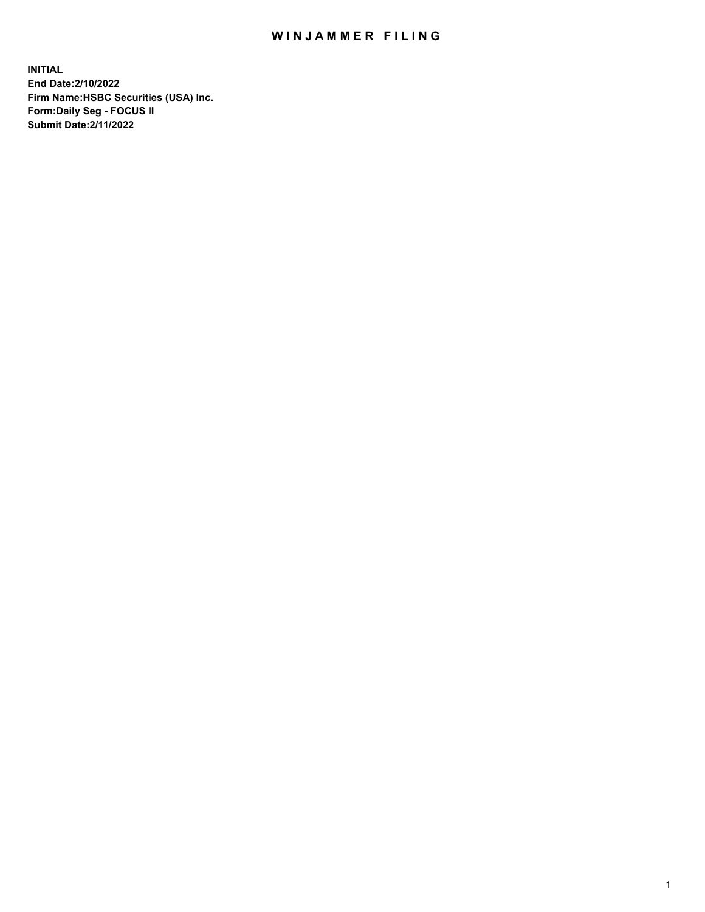## WIN JAMMER FILING

**INITIAL End Date:2/10/2022 Firm Name:HSBC Securities (USA) Inc. Form:Daily Seg - FOCUS II Submit Date:2/11/2022**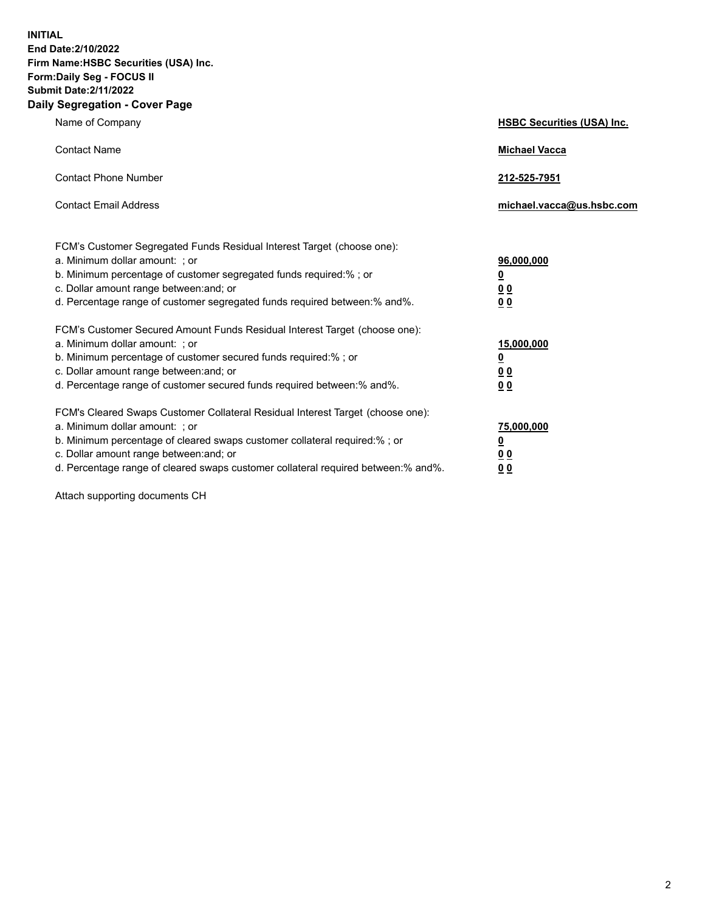**INITIAL End Date:2/10/2022 Firm Name:HSBC Securities (USA) Inc. Form:Daily Seg - FOCUS II Submit Date:2/11/2022 Daily Segregation - Cover Page**

| Name of Company                                                                                                                                                                                                                                                                                                                | <b>HSBC Securities (USA) Inc.</b>                          |
|--------------------------------------------------------------------------------------------------------------------------------------------------------------------------------------------------------------------------------------------------------------------------------------------------------------------------------|------------------------------------------------------------|
| <b>Contact Name</b>                                                                                                                                                                                                                                                                                                            | <b>Michael Vacca</b>                                       |
| <b>Contact Phone Number</b>                                                                                                                                                                                                                                                                                                    | 212-525-7951                                               |
| <b>Contact Email Address</b>                                                                                                                                                                                                                                                                                                   | michael.vacca@us.hsbc.com                                  |
| FCM's Customer Segregated Funds Residual Interest Target (choose one):<br>a. Minimum dollar amount: ; or<br>b. Minimum percentage of customer segregated funds required:% ; or<br>c. Dollar amount range between: and; or<br>d. Percentage range of customer segregated funds required between:% and%.                         | 96,000,000<br><u>0</u><br>0 <sub>0</sub><br>0 <sub>0</sub> |
| FCM's Customer Secured Amount Funds Residual Interest Target (choose one):<br>a. Minimum dollar amount: ; or<br>b. Minimum percentage of customer secured funds required:% ; or<br>c. Dollar amount range between: and; or<br>d. Percentage range of customer secured funds required between: % and %.                         | 15,000,000<br><u>0</u><br>0 <sub>0</sub><br>0 <sub>0</sub> |
| FCM's Cleared Swaps Customer Collateral Residual Interest Target (choose one):<br>a. Minimum dollar amount: ; or<br>b. Minimum percentage of cleared swaps customer collateral required:% ; or<br>c. Dollar amount range between: and; or<br>d. Percentage range of cleared swaps customer collateral required between:% and%. | 75,000,000<br><u>0</u><br>00<br>00                         |

Attach supporting documents CH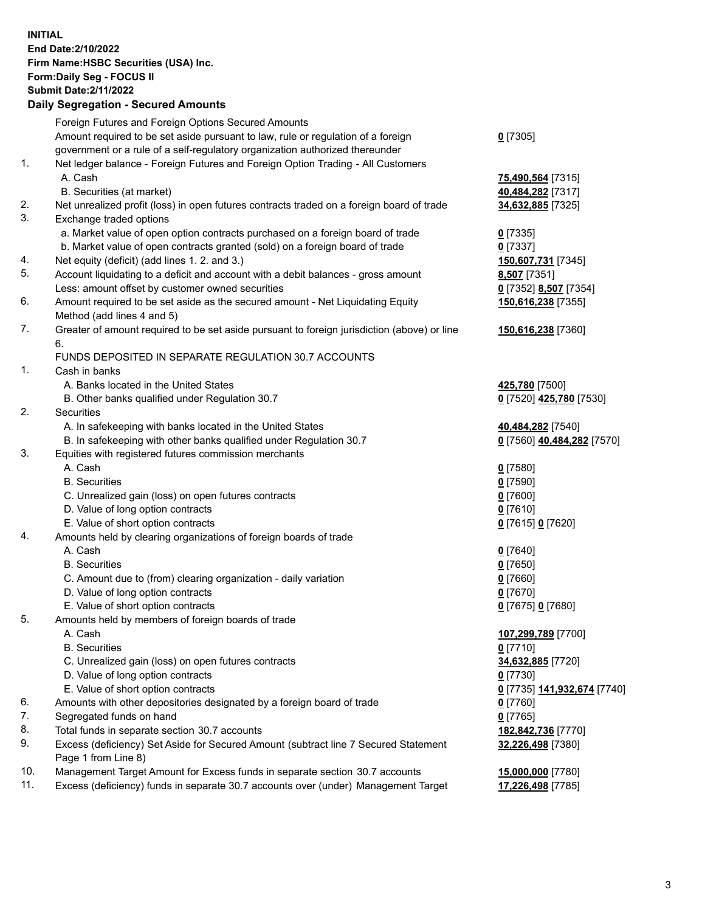**INITIAL End Date:2/10/2022 Firm Name:HSBC Securities (USA) Inc. Form:Daily Seg - FOCUS II Submit Date:2/11/2022 Daily Segregation - Secured Amounts**

## Foreign Futures and Foreign Options Secured Amounts Amount required to be set aside pursuant to law, rule or regulation of a foreign government or a rule of a self-regulatory organization authorized thereunder **0** [7305] 1. Net ledger balance - Foreign Futures and Foreign Option Trading - All Customers A. Cash **75,490,564** [7315] B. Securities (at market) **40,484,282** [7317] 2. Net unrealized profit (loss) in open futures contracts traded on a foreign board of trade **34,632,885** [7325] 3. Exchange traded options a. Market value of open option contracts purchased on a foreign board of trade **0** [7335] b. Market value of open contracts granted (sold) on a foreign board of trade **0** [7337] 4. Net equity (deficit) (add lines 1. 2. and 3.) **150,607,731** [7345] 5. Account liquidating to a deficit and account with a debit balances - gross amount **8,507** [7351] Less: amount offset by customer owned securities **0** [7352] **8,507** [7354] 6. Amount required to be set aside as the secured amount - Net Liquidating Equity Method (add lines 4 and 5) **150,616,238** [7355] 7. Greater of amount required to be set aside pursuant to foreign jurisdiction (above) or line 6. **150,616,238** [7360] FUNDS DEPOSITED IN SEPARATE REGULATION 30.7 ACCOUNTS 1. Cash in banks A. Banks located in the United States **425,780** [7500] B. Other banks qualified under Regulation 30.7 **0** [7520] **425,780** [7530] 2. Securities A. In safekeeping with banks located in the United States **40,484,282** [7540] B. In safekeeping with other banks qualified under Regulation 30.7 **0** [7560] **40,484,282** [7570] 3. Equities with registered futures commission merchants A. Cash **0** [7580] B. Securities **0** [7590] C. Unrealized gain (loss) on open futures contracts **0** [7600] D. Value of long option contracts **0** [7610] E. Value of short option contracts **0** [7615] **0** [7620] 4. Amounts held by clearing organizations of foreign boards of trade A. Cash **0** [7640] B. Securities **0** [7650] C. Amount due to (from) clearing organization - daily variation **0** [7660] D. Value of long option contracts **0** [7670] E. Value of short option contracts **0** [7675] **0** [7680] 5. Amounts held by members of foreign boards of trade A. Cash **107,299,789** [7700] B. Securities **0** [7710] C. Unrealized gain (loss) on open futures contracts **34,632,885** [7720] D. Value of long option contracts **0** [7730] E. Value of short option contracts **0** [7735] **141,932,674** [7740] 6. Amounts with other depositories designated by a foreign board of trade **0** [7760] 7. Segregated funds on hand **0** [7765] 8. Total funds in separate section 30.7 accounts **182,842,736** [7770] 9. Excess (deficiency) Set Aside for Secured Amount (subtract line 7 Secured Statement Page 1 from Line 8) **32,226,498** [7380] 10. Management Target Amount for Excess funds in separate section 30.7 accounts **15,000,000** [7780] 11. Excess (deficiency) funds in separate 30.7 accounts over (under) Management Target **17,226,498** [7785]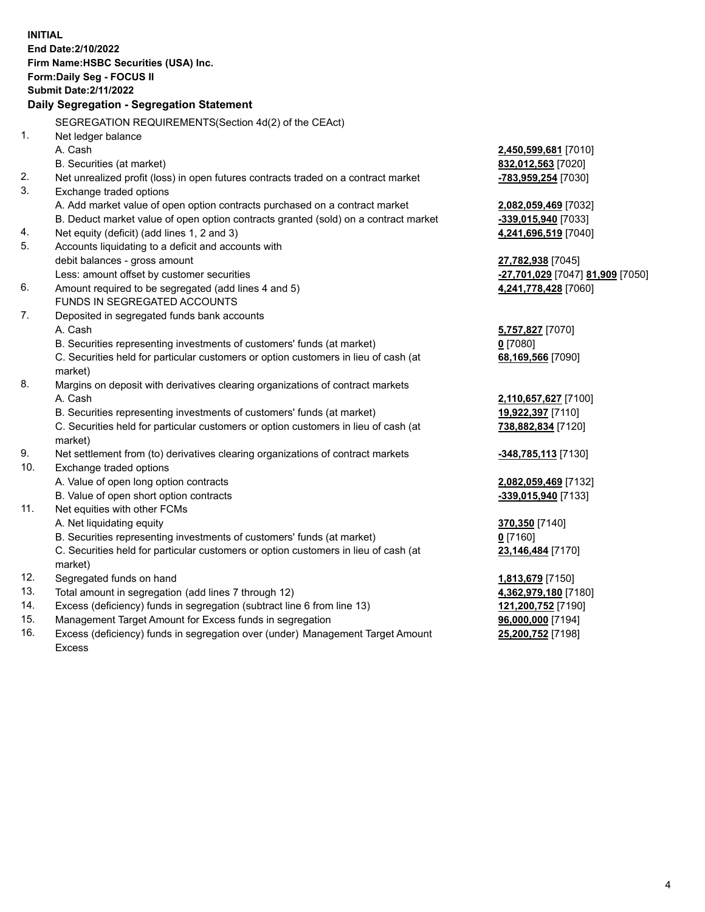**INITIAL End Date:2/10/2022 Firm Name:HSBC Securities (USA) Inc. Form:Daily Seg - FOCUS II Submit Date:2/11/2022 Daily Segregation - Segregation Statement** SEGREGATION REQUIREMENTS(Section 4d(2) of the CEAct) 1. Net ledger balance A. Cash **2,450,599,681** [7010] B. Securities (at market) **832,012,563** [7020] 2. Net unrealized profit (loss) in open futures contracts traded on a contract market **-783,959,254** [7030] 3. Exchange traded options A. Add market value of open option contracts purchased on a contract market **2,082,059,469** [7032] B. Deduct market value of open option contracts granted (sold) on a contract market **-339,015,940** [7033] 4. Net equity (deficit) (add lines 1, 2 and 3) **4,241,696,519** [7040] 5. Accounts liquidating to a deficit and accounts with debit balances - gross amount **27,782,938** [7045] Less: amount offset by customer securities **-27,701,029** [7047] **81,909** [7050] 6. Amount required to be segregated (add lines 4 and 5) **4,241,778,428** [7060] FUNDS IN SEGREGATED ACCOUNTS 7. Deposited in segregated funds bank accounts A. Cash **5,757,827** [7070] B. Securities representing investments of customers' funds (at market) **0** [7080] C. Securities held for particular customers or option customers in lieu of cash (at market) **68,169,566** [7090] 8. Margins on deposit with derivatives clearing organizations of contract markets A. Cash **2,110,657,627** [7100] B. Securities representing investments of customers' funds (at market) **19,922,397** [7110] C. Securities held for particular customers or option customers in lieu of cash (at market) **738,882,834** [7120] 9. Net settlement from (to) derivatives clearing organizations of contract markets **-348,785,113** [7130] 10. Exchange traded options A. Value of open long option contracts **2,082,059,469** [7132] B. Value of open short option contracts **-339,015,940** [7133] 11. Net equities with other FCMs A. Net liquidating equity **370,350** [7140] B. Securities representing investments of customers' funds (at market) **0** [7160] C. Securities held for particular customers or option customers in lieu of cash (at market) **23,146,484** [7170] 12. Segregated funds on hand **1,813,679** [7150] 13. Total amount in segregation (add lines 7 through 12) **4,362,979,180** [7180] 14. Excess (deficiency) funds in segregation (subtract line 6 from line 13) **121,200,752** [7190] 15. Management Target Amount for Excess funds in segregation **96,000,000** [7194] 16. Excess (deficiency) funds in segregation over (under) Management Target Amount **25,200,752** [7198]

Excess